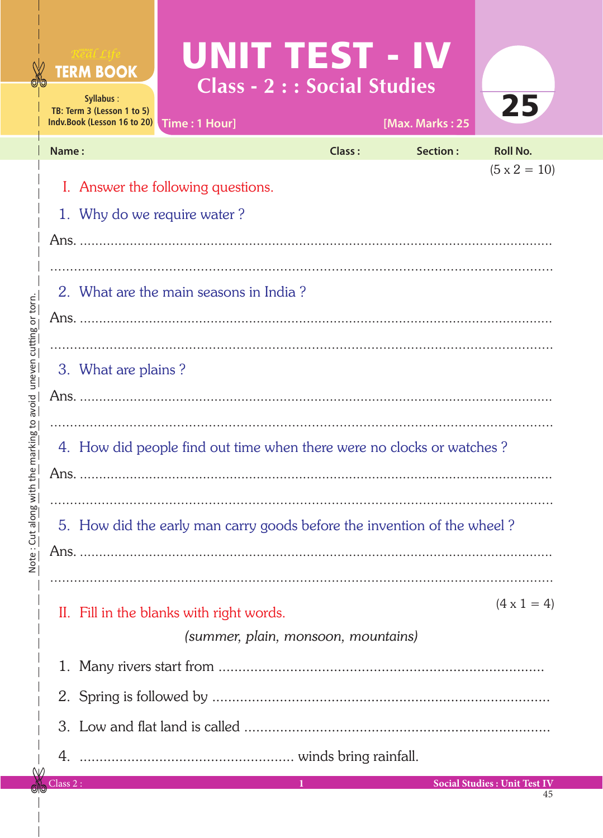|                                     |          | Real Life<br><b>TERM BOOK</b><br>Syllabus:<br>TB: Term 3 (Lesson 1 to 5)<br>Indv.Book (Lesson 16 to 20) | UNITTEST - IV<br><b>Class - 2 : : Social Studies</b> |               |                             | 25                                  |  |  |  |
|-------------------------------------|----------|---------------------------------------------------------------------------------------------------------|------------------------------------------------------|---------------|-----------------------------|-------------------------------------|--|--|--|
|                                     | Name:    |                                                                                                         | Time: 1 Hour]                                        | <b>Class:</b> | [Max. Marks: 25<br>Section: | <b>Roll No.</b>                     |  |  |  |
|                                     |          |                                                                                                         |                                                      |               |                             | $(5 \times 2 = 10)$                 |  |  |  |
|                                     |          | I. Answer the following questions.                                                                      |                                                      |               |                             |                                     |  |  |  |
|                                     |          | 1. Why do we require water?                                                                             |                                                      |               |                             |                                     |  |  |  |
|                                     |          |                                                                                                         |                                                      |               |                             |                                     |  |  |  |
|                                     |          | 2. What are the main seasons in India?                                                                  |                                                      |               |                             |                                     |  |  |  |
| $\bar{5}$                           |          |                                                                                                         |                                                      |               |                             |                                     |  |  |  |
|                                     |          |                                                                                                         |                                                      |               |                             |                                     |  |  |  |
| レコロンピー                              |          | 3. What are plains?                                                                                     |                                                      |               |                             |                                     |  |  |  |
|                                     |          |                                                                                                         |                                                      |               |                             |                                     |  |  |  |
|                                     |          |                                                                                                         |                                                      |               |                             |                                     |  |  |  |
| llis IIIai Kilig                    |          | 4. How did people find out time when there were no clocks or watches?                                   |                                                      |               |                             |                                     |  |  |  |
|                                     |          |                                                                                                         |                                                      |               |                             |                                     |  |  |  |
|                                     |          |                                                                                                         |                                                      |               |                             |                                     |  |  |  |
| NOIE - CUL dIOI                     |          | 5. How did the early man carry goods before the invention of the wheel?                                 |                                                      |               |                             |                                     |  |  |  |
|                                     |          |                                                                                                         |                                                      |               |                             |                                     |  |  |  |
|                                     |          |                                                                                                         |                                                      |               |                             | $(4 \times 1 = 4)$                  |  |  |  |
|                                     |          |                                                                                                         | II. Fill in the blanks with right words.             |               |                             |                                     |  |  |  |
| (summer, plain, monsoon, mountains) |          |                                                                                                         |                                                      |               |                             |                                     |  |  |  |
|                                     |          |                                                                                                         |                                                      |               |                             |                                     |  |  |  |
|                                     |          |                                                                                                         |                                                      |               |                             |                                     |  |  |  |
|                                     |          |                                                                                                         |                                                      |               |                             |                                     |  |  |  |
|                                     |          |                                                                                                         |                                                      |               |                             |                                     |  |  |  |
|                                     | Class 2: |                                                                                                         |                                                      | 1             |                             | <b>Social Studies: Unit Test IV</b> |  |  |  |